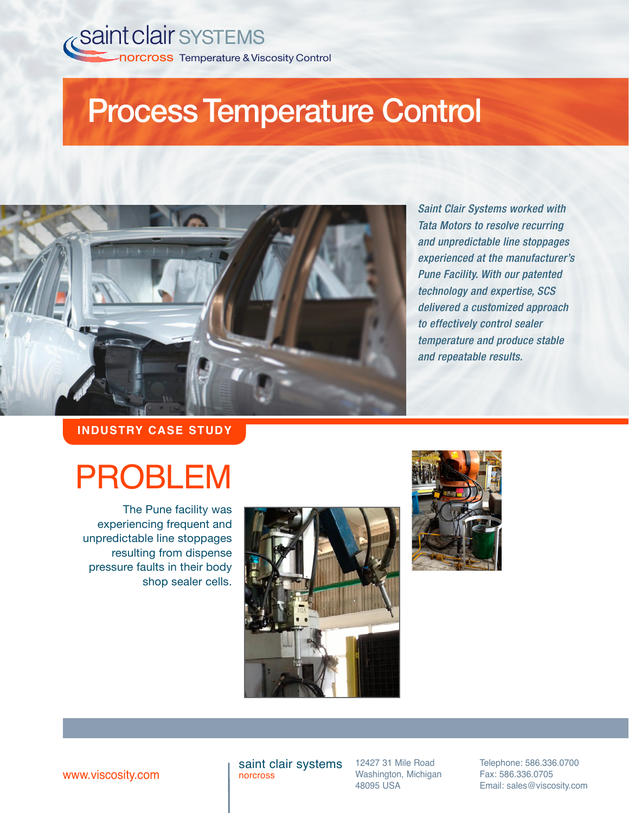## **Process Temperature Control**



*Saint Clair Systems worked with Tata Motors to resolve recurring and unpredictable line stoppages experienced at the manufacturer's Pune Facility. With our patented technology and expertise, SCS delivered a customized approach to effectively control sealer temperature and produce stable and repeatable results.*

**INDUSTRY CASE STUDY**

# PROBLEM

The Pune facility was experiencing frequent and unpredictable line stoppages resulting from dispense pressure faults in their body shop sealer cells.





www.viscosity.com

saint clair systems norcross

12427 31 Mile Road Washington, Michigan 48095 USA

Telephone: 586.336.0700 Fax: 586.336.0705 Email: sales@viscosity.com